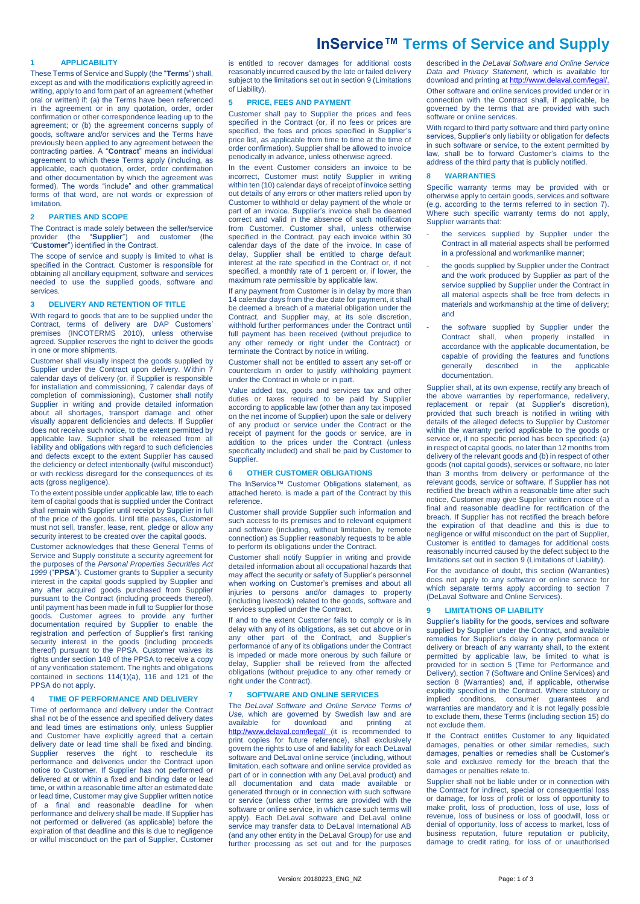# **InService™ Terms of Service and Supply**

# **1 APPLICABILITY**

These Terms of Service and Supply (the "**Terms**") shall, except as and with the modifications explicitly agreed in writing, apply to and form part of an agreement (whether oral or written) if: (a) the Terms have been referenced in the agreement or in any quotation, order, order confirmation or other correspondence leading up to the agreement; or (b) the agreement concerns supply of goods, software and/or services and the Terms have previously been applied to any agreement between the contracting parties. A "**Contract**" means an individual agreement to which these Terms apply (including, as applicable, each quotation, order, order confirmation and other documentation by which the agreement was formed). The words "include" and other grammatical forms of that word, are not words or expression of limitation.

#### **2 PARTIES AND SCOPE**

The Contract is made solely between the seller/service<br>provider (the "Supplier") and customer (the provider (the "**Supplier**") and customer (the "**Customer**") identified in the Contract.

The scope of service and supply is limited to what is specified in the Contract. Customer is responsible for obtaining all ancillary equipment, software and services needed to use the supplied goods, software and services.

# **3 DELIVERY AND RETENTION OF TITLE**

With regard to goods that are to be supplied under the Contract, terms of delivery are DAP Customers' premises (INCOTERMS 2010), unless otherwise agreed. Supplier reserves the right to deliver the goods in one or more shipments.

Customer shall visually inspect the goods supplied by Supplier under the Contract upon delivery. Within 7 calendar days of delivery (or, if Supplier is responsible for installation and commissioning, 7 calendar days of completion of commissioning), Customer shall notify Supplier in writing and provide detailed information about all shortages, transport damage and other visually apparent deficiencies and defects. If Supplier does not receive such notice, to the extent permitted by applicable law, Supplier shall be released from all liability and obligations with regard to such deficiencies and defects except to the extent Supplier has caused the deficiency or defect intentionally (wilful misconduct) or with reckless disregard for the consequences of its acts (gross negligence).

To the extent possible under applicable law, title to each item of capital goods that is supplied under the Contract shall remain with Supplier until receipt by Supplier in full of the price of the goods. Until title passes, Customer must not sell, transfer, lease, rent, pledge or allow any security interest to be created over the capital goods.

Customer acknowledges that these General Terms of Service and Supply constitute a security agreement for the purposes of the *Personal Properties Securities Act 1999* ("**PPSA**"). Customer grants to Supplier a security interest in the capital goods supplied by Supplier and any after acquired goods purchased from Supplier pursuant to the Contract (including proceeds thereof), until payment has been made in full to Supplier for those goods. Customer agrees to provide any further documentation required by Supplier to enable the registration and perfection of Supplier's first ranking security interest in the goods (including proceeds thereof) pursuant to the PPSA. Customer waives its rights under section 148 of the PPSA to receive a copy of any verification statement. The rights and obligations contained in sections 114(1)(a), 116 and 121 of the PPSA do not apply.

# **4 TIME OF PERFORMANCE AND DELIVERY**

Time of performance and delivery under the Contract shall not be of the essence and specified delivery dates and lead times are estimations only, unless Supplier and Customer have explicitly agreed that a certain delivery date or lead time shall be fixed and binding. Supplier reserves the right to reschedule its performance and deliveries under the Contract upon notice to Customer. If Supplier has not performed or delivered at or within a fixed and binding date or lead time, or within a reasonable time after an estimated date or lead time, Customer may give Supplier written notice of a final and reasonable deadline for when performance and delivery shall be made. If Supplier has not performed or delivered (as applicable) before the expiration of that deadline and this is due to negligence or wilful misconduct on the part of Supplier, Customer

is entitled to recover damages for additional costs reasonably incurred caused by the late or failed delivery subject to the limitations set out in sectio[n 9](#page-0-0) (Limitations of Liability).

#### <span id="page-0-2"></span>**5 PRICE, FEES AND PAYMENT**

Customer shall pay to Supplier the prices and fees specified in the Contract (or, if no fees or prices are specified, the fees and prices specified in Supplier's price list, as applicable from time to time at the time of order confirmation). Supplier shall be allowed to invoice periodically in advance, unless otherwise agreed.

In the event Customer considers an invoice to be incorrect, Customer must notify Supplier in writing within ten (10) calendar days of receipt of invoice setting out details of any errors or other matters relied upon by Customer to withhold or delay payment of the whole or part of an invoice. Supplier's invoice shall be deemed correct and valid in the absence of such notification from Customer. Customer shall, unless otherwise specified in the Contract, pay each invoice within 30 calendar days of the date of the invoice. In case of delay, Supplier shall be entitled to charge default interest at the rate specified in the Contract or, if not specified, a monthly rate of 1 percent or, if lower, the maximum rate permissible by applicable law.

If any payment from Customer is in delay by more than 14 calendar days from the due date for payment, it shall be deemed a breach of a material obligation under the Contract, and Supplier may, at its sole discretion, withhold further performances under the Contract until full payment has been received (without prejudice to any other remedy or right under the Contract) or terminate the Contract by notice in writing.

Customer shall not be entitled to assert any set-off or counterclaim in order to justify withholding payment under the Contract in whole or in part.

Value added tax, goods and services tax and other duties or taxes required to be paid by Supplier according to applicable law (other than any tax imposed on the net income of Supplier) upon the sale or delivery of any product or service under the Contract or the receipt of payment for the goods or service, are in addition to the prices under the Contract (unless specifically included) and shall be paid by Customer to **Supplier.** 

## **6 OTHER CUSTOMER OBLIGATIONS**

The InService™ Customer Obligations statement, as attached hereto, is made a part of the Contract by this reference.

Customer shall provide Supplier such information and such access to its premises and to relevant equipment and software (including, without limitation, by remote connection) as Supplier reasonably requests to be able to perform its obligations under the Contract.

Customer shall notify Supplier in writing and provide detailed information about all occupational hazards that may affect the security or safety of Supplier's personnel when working on Customer's premises and about all injuries to persons and/or damages to property (including livestock) related to the goods, software and services supplied under the Contract.

If and to the extent Customer fails to comply or is in delay with any of its obligations, as set out above or in any other part of the Contract, and Supplier's performance of any of its obligations under the Contract is impeded or made more onerous by such failure or delay, Supplier shall be relieved from the affected obligations (without prejudice to any other remedy or right under the Contract).

#### <span id="page-0-1"></span>**7 SOFTWARE AND ONLINE SERVICES**

The *DeLaval Software and Online Service Terms of Use,* which are governed by Swedish law and are download <http://www.delaval.com/legal/> (it is recommended to print copies for future reference), shall exclusively govern the rights to use of and liability for each DeLaval software and DeLaval online service (including, without limitation, each software and online service provided as part of or in connection with any DeLaval product) and documentation and data made available or generated through or in connection with such software or service (unless other terms are provided with the software or online service, in which case such terms will apply). Each DeLaval software and DeLaval online service may transfer data to DeLaval International AB (and any other entity in the DeLaval Group) for use and further processing as set out and for the purposes

described in the *DeLaval Software and Online Service Data and Privacy Statement,* which is available for download and printing a[t http://www.delaval.com/legal/.](http://www.delaval.com/legal/) Other software and online services provided under or in

connection with the Contract shall, if applicable, be governed by the terms that are provided with such software or online services.

With regard to third party software and third party online services, Supplier's only liability or obligation for defects in such software or service, to the extent permitted by law, shall be to forward Customer's claims to the address of the third party that is publicly notified.

### <span id="page-0-3"></span>**8 WARRANTIES**

Specific warranty terms may be provided with or otherwise apply to certain goods, services and software (e.g. according to the terms referred to in section [7\).](#page-0-1) Where such specific warranty terms do not apply, Supplier warrants that:

- the services supplied by Supplier under the Contract in all material aspects shall be performed in a professional and workmanlike manner;
- the goods supplied by Supplier under the Contract and the work produced by Supplier as part of the service supplied by Supplier under the Contract in all material aspects shall be free from defects in materials and workmanship at the time of delivery; and
- the software supplied by Supplier under the Contract shall, when properly installed in accordance with the applicable documentation, be capable of providing the features and functions generally described in the applicable documentation.

Supplier shall, at its own expense, rectify any breach of the above warranties by reperformance, redelivery, replacement or repair (at Supplier's discretion), provided that such breach is notified in writing with details of the alleged defects to Supplier by Customer within the warranty period applicable to the goods or service or, if no specific period has been specified: (a) in respect of capital goods, no later than 12 months from delivery of the relevant goods and (b) in respect of other goods (not capital goods), services or software, no later than 3 months from delivery or performance of the relevant goods, service or software. If Supplier has not rectified the breach within a reasonable time after such notice, Customer may give Supplier written notice of a final and reasonable deadline for rectification of the breach. If Supplier has not rectified the breach before the expiration of that deadline and this is due to negligence or wilful misconduct on the part of Supplier, Customer is entitled to damages for additional costs reasonably incurred caused by the defect subject to the limitations set out in sectio[n 9](#page-0-0) (Limitations of Liability).

For the avoidance of doubt, this section (Warranties) does not apply to any software or online service for which separate terms apply according to section [7](#page-0-1) (DeLaval Software and Online Services).

#### <span id="page-0-0"></span>**9 LIMITATIONS OF LIABILITY**

Supplier's liability for the goods, services and software supplied by Supplier under the Contract, and available remedies for Supplier's delay in any performance or delivery or breach of any warranty shall, to the extent permitted by applicable law, be limited to what is provided for in section [5](#page-0-2) (Time for Performance and Delivery), sectio[n 7](#page-0-1) (Software and Online Services) and section [8](#page-0-3) (Warranties) and, if applicable, otherwise explicitly specified in the Contract. Where statutory or implied conditions, consumer guarantees and warranties are mandatory and it is not legally possible to exclude them, these Terms (including section [15\)](#page-1-0) do not exclude them.

If the Contract entitles Customer to any liquidated damages, penalties or other similar remedies, such damages, penalties or remedies shall be Customer's sole and exclusive remedy for the breach that the damages or penalties relate to.

Supplier shall not be liable under or in connection with the Contract for indirect, special or consequential loss or damage, for loss of profit or loss of opportunity to make profit, loss of production, loss of use, loss of revenue, loss of business or loss of goodwill, loss or denial of opportunity, loss of access to market, loss of business reputation, future reputation or publicity, damage to credit rating, for loss of or unauthorised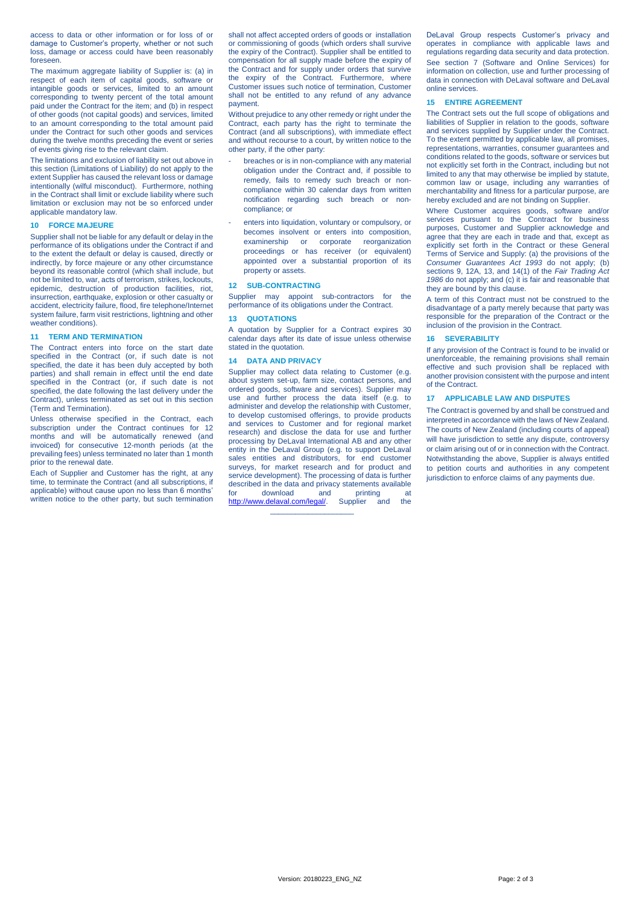access to data or other information or for loss of or damage to Customer's property, whether or not such loss, damage or access could have been reasonably foreseen.

The maximum aggregate liability of Supplier is: (a) in respect of each item of capital goods, software or intangible goods or services, limited to an amount corresponding to twenty percent of the total amount paid under the Contract for the item; and (b) in respect of other goods (not capital goods) and services, limited to an amount corresponding to the total amount paid under the Contract for such other goods and services during the twelve months preceding the event or series of events giving rise to the relevant claim.

The limitations and exclusion of liability set out above in this section (Limitations of Liability) do not apply to the extent Supplier has caused the relevant loss or damage intentionally (wilful misconduct). Furthermore, nothing in the Contract shall limit or exclude liability where such limitation or exclusion may not be so enforced under applicable mandatory law.

## **10 FORCE MAJEURE**

Supplier shall not be liable for any default or delay in the performance of its obligations under the Contract if and to the extent the default or delay is caused, directly or indirectly, by force majeure or any other circumstance beyond its reasonable control (which shall include, but not be limited to, war, acts of terrorism, strikes, lockouts, epidemic, destruction of production facilities, riot, insurrection, earthquake, explosion or other casualty or accident, electricity failure, flood, fire telephone/Internet system failure, farm visit restrictions, lightning and other weather conditions).

## **11 TERM AND TERMINATION**

The Contract enters into force on the start date specified in the Contract (or, if such date is not specified, the date it has been duly accepted by both parties) and shall remain in effect until the end date specified in the Contract (or, if such date is not specified, the date following the last delivery under the Contract), unless terminated as set out in this section (Term and Termination).

Unless otherwise specified in the Contract, each subscription under the Contract continues for 12 months and will be automatically renewed (and invoiced) for consecutive 12-month periods (at the prevailing fees) unless terminated no later than 1 month prior to the renewal date.

Each of Supplier and Customer has the right, at any time, to terminate the Contract (and all subscriptions, if applicable) without cause upon no less than 6 months' written notice to the other party, but such termination shall not affect accepted orders of goods or installation or commissioning of goods (which orders shall survive the expiry of the Contract). Supplier shall be entitled to compensation for all supply made before the expiry of the Contract and for supply under orders that survive the expiry of the Contract. Furthermore, where Customer issues such notice of termination, Customer shall not be entitled to any refund of any advance payment.

Without prejudice to any other remedy or right under the Contract, each party has the right to terminate the Contract (and all subscriptions), with immediate effect and without recourse to a court, by written notice to the other party, if the other party:

- breaches or is in non-compliance with any material obligation under the Contract and, if possible to remedy, fails to remedy such breach or noncompliance within 30 calendar days from written notification regarding such breach or noncompliance; or
- enters into liquidation, voluntary or compulsory, or becomes insolvent or enters into composition, examinership or corporate reorganization proceedings or has receiver (or equivalent) appointed over a substantial proportion of its property or assets.

#### **12 SUB-CONTRACTING**

Supplier may appoint sub-contractors for the performance of its obligations under the Contract.

#### **13 QUOTATIONS**

A quotation by Supplier for a Contract expires 30 calendar days after its date of issue unless otherwise stated in the quotation.

#### **14 DATA AND PRIVACY**

Supplier may collect data relating to Customer (e.g. about system set-up, farm size, contact persons, and ordered goods, software and services). Supplier may use and further process the data itself (e.g. to administer and develop the relationship with Customer, to develop customised offerings, to provide products and services to Customer and for regional market research) and disclose the data for use and further processing by DeLaval International AB and any other entity in the DeLaval Group (e.g. to support DeLaval sales entities and distributors, for end customer surveys, for market research and for product and service development). The processing of data is further described in the data and privacy statements available<br>for download and printing at for download and printing at<br>http://www.delaval.com/legal/. Supplier and the الله المستحدة.<br>./<mark>/www.delaval.c</mark>om/legal/  $\frac{1}{2}$  ,  $\frac{1}{2}$  ,  $\frac{1}{2}$  ,  $\frac{1}{2}$  ,  $\frac{1}{2}$  ,  $\frac{1}{2}$  ,  $\frac{1}{2}$  ,  $\frac{1}{2}$  ,  $\frac{1}{2}$  ,  $\frac{1}{2}$  ,  $\frac{1}{2}$  ,  $\frac{1}{2}$  ,  $\frac{1}{2}$  ,  $\frac{1}{2}$  ,  $\frac{1}{2}$  ,  $\frac{1}{2}$  ,  $\frac{1}{2}$  ,  $\frac{1}{2}$  ,  $\frac{1$ 

DeLaval Group respects Customer's privacy and operates in compliance with applicable laws and regulations regarding data security and data protection. See section [7](#page-0-1) (Software and Online Services) for information on collection, use and further processing of data in connection with DeLaval software and DeLaval online services.

#### <span id="page-1-0"></span>**15 ENTIRE AGREEMENT**

The Contract sets out the full scope of obligations and liabilities of Supplier in relation to the goods, software and services supplied by Supplier under the Contract. To the extent permitted by applicable law, all promises, representations, warranties, consumer guarantees and conditions related to the goods, software or services but not explicitly set forth in the Contract, including but not limited to any that may otherwise be implied by statute, common law or usage, including any warranties of merchantability and fitness for a particular purpose, are hereby excluded and are not binding on Supplier.

Where Customer acquires goods, software and/or services pursuant to the Contract for business purposes, Customer and Supplier acknowledge and agree that they are each in trade and that, except as explicitly set forth in the Contract or these General Terms of Service and Supply: (a) the provisions of the *Consumer Guarantees Act 1993* do not apply; (b) sections 9, 12A, 13, and 14(1) of the *Fair Trading Act 1986* do not apply; and (c) it is fair and reasonable that they are bound by this clause.

A term of this Contract must not be construed to the disadvantage of a party merely because that party was responsible for the preparation of the Contract or the inclusion of the provision in the Contract.

## **16 SEVERABILITY**

If any provision of the Contract is found to be invalid or unenforceable, the remaining provisions shall remain effective and such provision shall be replaced with another provision consistent with the purpose and intent of the Contract.

## **17 APPLICABLE LAW AND DISPUTES**

The Contract is governed by and shall be construed and interpreted in accordance with the laws of New Zealand. The courts of New Zealand (including courts of appeal) will have jurisdiction to settle any dispute, controversy or claim arising out of or in connection with the Contract. Notwithstanding the above, Supplier is always entitled to petition courts and authorities in any competent jurisdiction to enforce claims of any payments due.